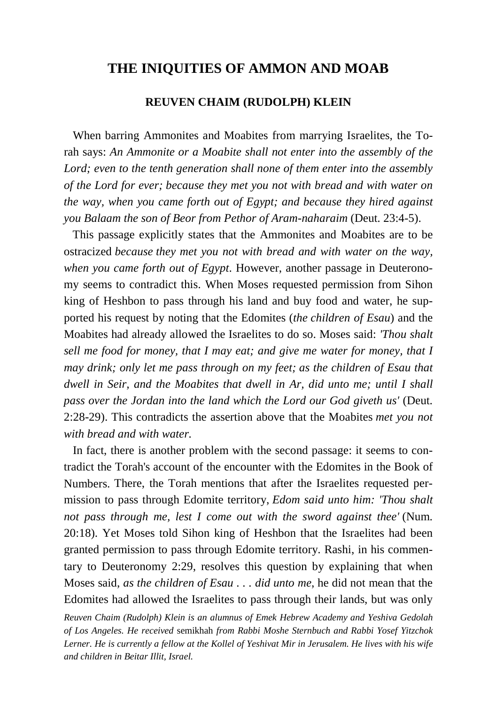# **THE INIQUITIES OF AMMON AND MOAB**

# **REUVEN CHAIM (RUDOLPH) KLEIN**

 When barring Ammonites and Moabites from marrying Israelites, the Torah says: *An Ammonite or a Moabite shall not enter into the assembly of the Lord; even to the tenth generation shall none of them enter into the assembly of the Lord for ever; because they met you not with bread and with water on the way, when you came forth out of Egypt; and because they hired against you Balaam the son of Beor from Pethor of Aram-naharaim* (Deut. 23:4-5).

 This passage explicitly states that the Ammonites and Moabites are to be ostracized *because they met you not with bread and with water on the way, when you came forth out of Egypt*. However, another passage in Deuteronomy seems to contradict this. When Moses requested permission from Sihon king of Heshbon to pass through his land and buy food and water, he supported his request by noting that the Edomites (*the children of Esau*) and the Moabites had already allowed the Israelites to do so. Moses said: *'Thou shalt sell me food for money, that I may eat; and give me water for money, that I may drink; only let me pass through on my feet; as the children of Esau that dwell in Seir, and the Moabites that dwell in Ar, did unto me; until I shall pass over the Jordan into the land which the Lord our God giveth us'* (Deut. 2:28-29). This contradicts the assertion above that the Moabites *met you not with bread and with water.*

 In fact, there is another problem with the second passage: it seems to contradict the Torah's account of the encounter with the Edomites in the Book of Numbers. There, the Torah mentions that after the Israelites requested permission to pass through Edomite territory, *Edom said unto him: 'Thou shalt not pass through me, lest I come out with the sword against thee'* (Num. 20:18). Yet Moses told Sihon king of Heshbon that the Israelites had been granted permission to pass through Edomite territory. Rashi, in his commentary to Deuteronomy 2:29, resolves this question by explaining that when Moses said, *as the children of Esau . . . did unto me*, he did not mean that the Edomites had allowed the Israelites to pass through their lands, but was only

*Reuven Chaim (Rudolph) Klein is an alumnus of Emek Hebrew Academy and Yeshiva Gedolah of Los Angeles. He received* semikhah *from Rabbi Moshe Sternbuch and Rabbi Yosef Yitzchok Lerner. He is currently a fellow at the Kollel of Yeshivat Mir in Jerusalem. He lives with his wife and children in Beitar Illit, Israel.*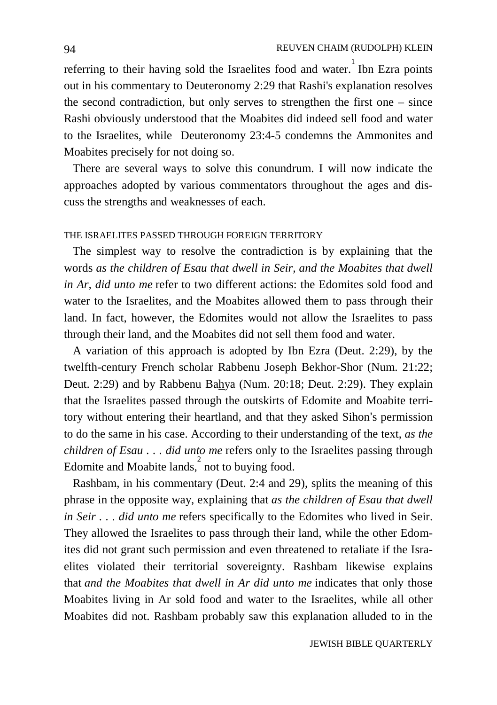referring to their having sold the Israelites food and water. Ibn Ezra points out in his commentary to Deuteronomy 2:29 that Rashi's explanation resolves the second contradiction, but only serves to strengthen the first one – since Rashi obviously understood that the Moabites did indeed sell food and water to the Israelites, while Deuteronomy 23:4-5 condemns the Ammonites and Moabites precisely for not doing so.

 There are several ways to solve this conundrum. I will now indicate the approaches adopted by various commentators throughout the ages and discuss the strengths and weaknesses of each.

### THE ISRAELITES PASSED THROUGH FOREIGN TERRITORY

 The simplest way to resolve the contradiction is by explaining that the words *as the children of Esau that dwell in Seir, and the Moabites that dwell in Ar, did unto me* refer to two different actions: the Edomites sold food and water to the Israelites, and the Moabites allowed them to pass through their land. In fact, however, the Edomites would not allow the Israelites to pass through their land, and the Moabites did not sell them food and water.

 A variation of this approach is adopted by Ibn Ezra (Deut. 2:29), by the twelfth-century French scholar Rabbenu Joseph Bekhor-Shor (Num. 21:22; Deut. 2:29) and by Rabbenu Bahya (Num. 20:18; Deut. 2:29). They explain that the Israelites passed through the outskirts of Edomite and Moabite territory without entering their heartland, and that they asked Sihon's permission to do the same in his case. According to their understanding of the text, *as the children of Esau . . . did unto me* refers only to the Israelites passing through Edomite and Moabite lands, $\int$  not to buying food.

 Rashbam, in his commentary (Deut. 2:4 and 29), splits the meaning of this phrase in the opposite way, explaining that *as the children of Esau that dwell in Seir . . . did unto me* refers specifically to the Edomites who lived in Seir. They allowed the Israelites to pass through their land, while the other Edomites did not grant such permission and even threatened to retaliate if the Israelites violated their territorial sovereignty. Rashbam likewise explains that *and the Moabites that dwell in Ar did unto me* indicates that only those Moabites living in Ar sold food and water to the Israelites, while all other Moabites did not. Rashbam probably saw this explanation alluded to in the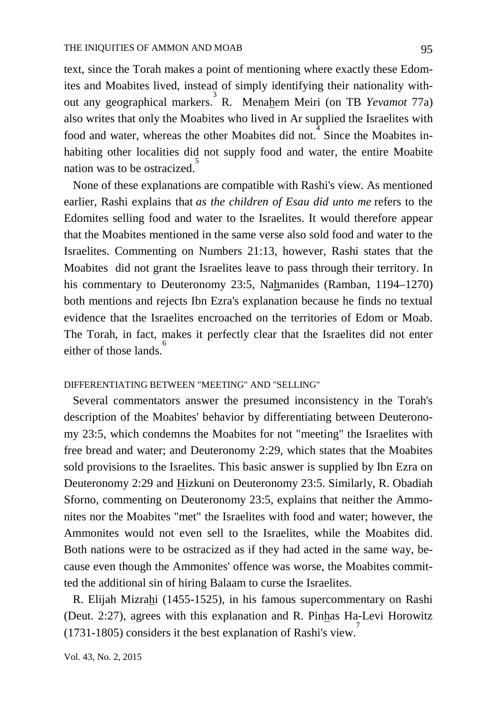text, since the Torah makes a point of mentioning where exactly these Edomites and Moabites lived, instead of simply identifying their nationality without any geographical markers.<sup>3</sup> R. Menahem Meiri (on TB *Yevamot 77a*) also writes that only the Moabites who lived in Ar supplied the Israelites with food and water, whereas the other Moabites did not. Since the Moabites inhabiting other localities did not supply food and water, the entire Moabite nation was to be ostracized.<sup>5</sup>

 None of these explanations are compatible with Rashi's view. As mentioned earlier, Rashi explains that *as the children of Esau did unto me* refers to the Edomites selling food and water to the Israelites. It would therefore appear that the Moabites mentioned in the same verse also sold food and water to the Israelites. Commenting on Numbers 21:13, however, Rashi states that the Moabites did not grant the Israelites leave to pass through their territory. In his commentary to Deuteronomy 23:5, Nahmanides (Ramban, 1194–1270) both mentions and rejects Ibn Ezra's explanation because he finds no textual evidence that the Israelites encroached on the territories of Edom or Moab. The Torah, in fact, makes it perfectly clear that the Israelites did not enter either of those lands.<sup>6</sup>

### DIFFERENTIATING BETWEEN "MEETING" AND "SELLING"

 Several commentators answer the presumed inconsistency in the Torah's description of the Moabites' behavior by differentiating between Deuteronomy 23:5, which condemns the Moabites for not "meeting" the Israelites with free bread and water; and Deuteronomy 2:29, which states that the Moabites sold provisions to the Israelites. This basic answer is supplied by Ibn Ezra on Deuteronomy 2:29 and Hizkuni on Deuteronomy 23:5. Similarly, R. Obadiah Sforno, commenting on Deuteronomy 23:5, explains that neither the Ammonites nor the Moabites "met" the Israelites with food and water; however, the Ammonites would not even sell to the Israelites, while the Moabites did. Both nations were to be ostracized as if they had acted in the same way, because even though the Ammonites' offence was worse, the Moabites committed the additional sin of hiring Balaam to curse the Israelites.

 R. Elijah Mizrahi (1455-1525), in his famous supercommentary on Rashi (Deut. 2:27), agrees with this explanation and R. Pinhas Ha-Levi Horowitz (1731-1805) considers it the best explanation of Rashi's view. 7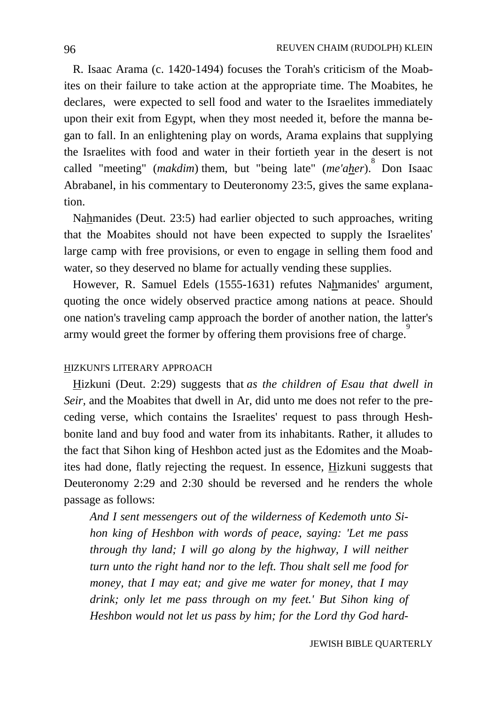R. Isaac Arama (c. 1420-1494) focuses the Torah's criticism of the Moabites on their failure to take action at the appropriate time. The Moabites, he declares, were expected to sell food and water to the Israelites immediately upon their exit from Egypt, when they most needed it, before the manna began to fall. In an enlightening play on words, Arama explains that supplying the Israelites with food and water in their fortieth year in the desert is not called "meeting" (*makdim*) them, but "being late" (*me'aher*). 8 Don Isaac Abrabanel, in his commentary to Deuteronomy 23:5, gives the same explanation.

 Nahmanides (Deut. 23:5) had earlier objected to such approaches, writing that the Moabites should not have been expected to supply the Israelites' large camp with free provisions, or even to engage in selling them food and water, so they deserved no blame for actually vending these supplies.

 However, R. Samuel Edels (1555-1631) refutes Nahmanides' argument, quoting the once widely observed practice among nations at peace. Should one nation's traveling camp approach the border of another nation, the latter's army would greet the former by offering them provisions free of charge.

# HIZKUNI'S LITERARY APPROACH

 Hizkuni (Deut. 2:29) suggests that *as the children of Esau that dwell in Seir,* and the Moabites that dwell in Ar, did unto me does not refer to the preceding verse, which contains the Israelites' request to pass through Heshbonite land and buy food and water from its inhabitants. Rather, it alludes to the fact that Sihon king of Heshbon acted just as the Edomites and the Moabites had done, flatly rejecting the request. In essence, Hizkuni suggests that Deuteronomy 2:29 and 2:30 should be reversed and he renders the whole passage as follows:

*And I sent messengers out of the wilderness of Kedemoth unto Sihon king of Heshbon with words of peace, saying: 'Let me pass through thy land; I will go along by the highway, I will neither turn unto the right hand nor to the left. Thou shalt sell me food for money, that I may eat; and give me water for money, that I may drink; only let me pass through on my feet.' But Sihon king of Heshbon would not let us pass by him; for the Lord thy God hard-*

JEWISH BIBLE QUARTERLY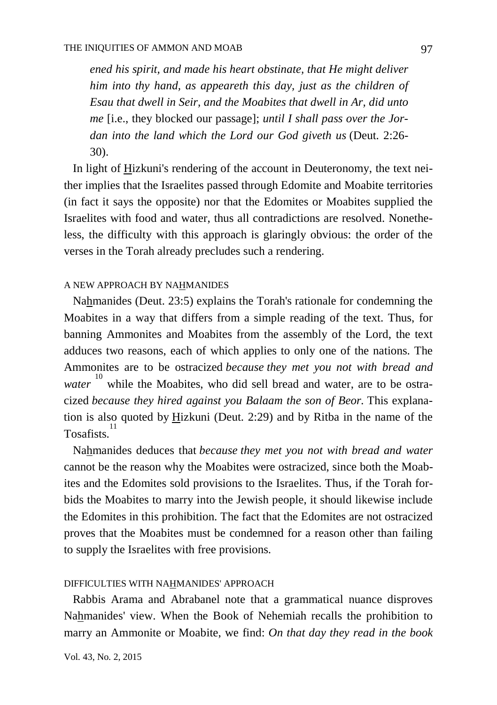*ened his spirit, and made his heart obstinate, that He might deliver him into thy hand, as appeareth this day, just as the children of Esau that dwell in Seir, and the Moabites that dwell in Ar, did unto me* [i.e., they blocked our passage]; *until I shall pass over the Jordan into the land which the Lord our God giveth us* (Deut. 2:26- 30).

 In light of Hizkuni's rendering of the account in Deuteronomy, the text neither implies that the Israelites passed through Edomite and Moabite territories (in fact it says the opposite) nor that the Edomites or Moabites supplied the Israelites with food and water, thus all contradictions are resolved. Nonetheless, the difficulty with this approach is glaringly obvious: the order of the verses in the Torah already precludes such a rendering.

## A NEW APPROACH BY NAHMANIDES

 Nahmanides (Deut. 23:5) explains the Torah's rationale for condemning the Moabites in a way that differs from a simple reading of the text. Thus, for banning Ammonites and Moabites from the assembly of the Lord, the text adduces two reasons, each of which applies to only one of the nations. The Ammonites are to be ostracized *because they met you not with bread and water* <sup>10</sup> while the Moabites, who did sell bread and water, are to be ostracized *because they hired against you Balaam the son of Beor.* This explanation is also quoted by Hizkuni (Deut. 2:29) and by Ritba in the name of the Tosafists.<sup>11</sup>

 Nahmanides deduces that *because they met you not with bread and water*  cannot be the reason why the Moabites were ostracized, since both the Moabites and the Edomites sold provisions to the Israelites. Thus, if the Torah forbids the Moabites to marry into the Jewish people, it should likewise include the Edomites in this prohibition. The fact that the Edomites are not ostracized proves that the Moabites must be condemned for a reason other than failing to supply the Israelites with free provisions.

### DIFFICULTIES WITH NAHMANIDES' APPROACH

 Rabbis Arama and Abrabanel note that a grammatical nuance disproves Nahmanides' view. When the Book of Nehemiah recalls the prohibition to marry an Ammonite or Moabite, we find: *On that day they read in the book*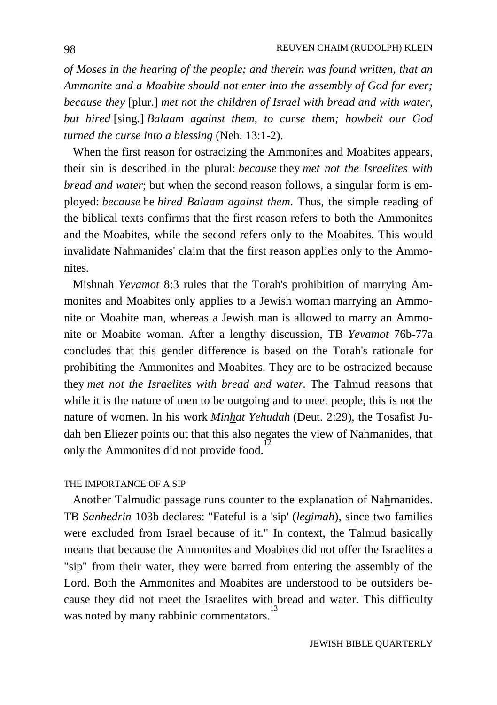*of Moses in the hearing of the people; and therein was found written, that an Ammonite and a Moabite should not enter into the assembly of God for ever; because they* [plur.] *met not the children of Israel with bread and with water, but hired* [sing.] *Balaam against them, to curse them; howbeit our God turned the curse into a blessing* (Neh. 13:1-2).

 When the first reason for ostracizing the Ammonites and Moabites appears, their sin is described in the plural: *because* they *met not the Israelites with bread and water*; but when the second reason follows, a singular form is employed: *because* he *hired Balaam against them*. Thus, the simple reading of the biblical texts confirms that the first reason refers to both the Ammonites and the Moabites, while the second refers only to the Moabites. This would invalidate Nahmanides' claim that the first reason applies only to the Ammonites.

 Mishnah *Yevamot* 8:3 rules that the Torah's prohibition of marrying Ammonites and Moabites only applies to a Jewish woman marrying an Ammonite or Moabite man, whereas a Jewish man is allowed to marry an Ammonite or Moabite woman. After a lengthy discussion, TB *Yevamot* 76b-77a concludes that this gender difference is based on the Torah's rationale for prohibiting the Ammonites and Moabites. They are to be ostracized because they *met not the Israelites with bread and water.* The Talmud reasons that while it is the nature of men to be outgoing and to meet people, this is not the nature of women. In his work *Minhat Yehudah* (Deut. 2:29), the Tosafist Judah ben Eliezer points out that this also negates the view of Nahmanides, that only the Ammonites did not provide food.

## THE IMPORTANCE OF A SIP

 Another Talmudic passage runs counter to the explanation of Nahmanides. TB *Sanhedrin* 103b declares: "Fateful is a 'sip' (*legimah*), since two families were excluded from Israel because of it." In context, the Talmud basically means that because the Ammonites and Moabites did not offer the Israelites a "sip" from their water, they were barred from entering the assembly of the Lord. Both the Ammonites and Moabites are understood to be outsiders because they did not meet the Israelites with bread and water. This difficulty was noted by many rabbinic commentators.<sup>1</sup>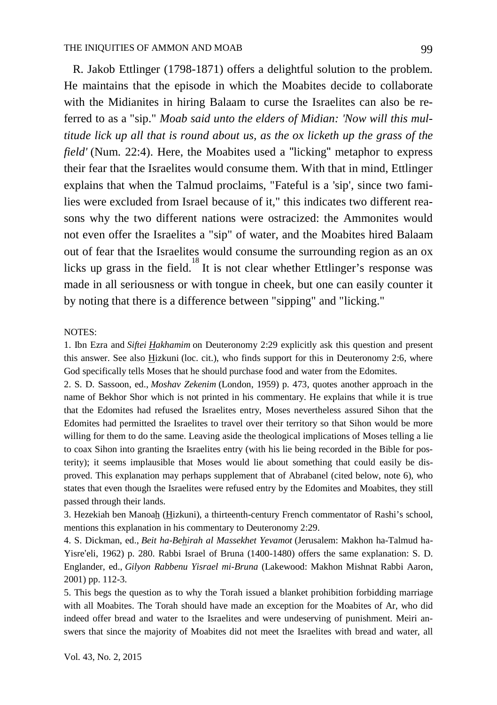R. Jakob Ettlinger (1798-1871) offers a delightful solution to the problem. He maintains that the episode in which the Moabites decide to collaborate with the Midianites in hiring Balaam to curse the Israelites can also be referred to as a "sip." *Moab said unto the elders of Midian: 'Now will this multitude lick up all that is round about us, as the ox licketh up the grass of the field'* (Num. 22:4). Here, the Moabites used a "licking" metaphor to express their fear that the Israelites would consume them. With that in mind, Ettlinger explains that when the Talmud proclaims, "Fateful is a 'sip', since two families were excluded from Israel because of it," this indicates two different reasons why the two different nations were ostracized: the Ammonites would not even offer the Israelites a "sip" of water, and the Moabites hired Balaam out of fear that the Israelites would consume the surrounding region as an ox licks up grass in the field.<sup>18</sup> It is not clear whether Ettlinger's response was made in all seriousness or with tongue in cheek, but one can easily counter it by noting that there is a difference between "sipping" and "licking."

#### NOTES:

1. Ibn Ezra and *Siftei Hakhamim* on Deuteronomy 2:29 explicitly ask this question and present this answer. See also Hizkuni (loc. cit.), who finds support for this in Deuteronomy 2:6, where God specifically tells Moses that he should purchase food and water from the Edomites.

2. S. D. Sassoon, ed., *Moshav Zekenim* (London, 1959) p. 473, quotes another approach in the name of Bekhor Shor which is not printed in his commentary. He explains that while it is true that the Edomites had refused the Israelites entry, Moses nevertheless assured Sihon that the Edomites had permitted the Israelites to travel over their territory so that Sihon would be more willing for them to do the same. Leaving aside the theological implications of Moses telling a lie to coax Sihon into granting the Israelites entry (with his lie being recorded in the Bible for posterity); it seems implausible that Moses would lie about something that could easily be disproved. This explanation may perhaps supplement that of Abrabanel (cited below, note 6), who states that even though the Israelites were refused entry by the Edomites and Moabites, they still passed through their lands.

3. Hezekiah ben Manoah (Hizkuni), a thirteenth-century French commentator of Rashi's school, mentions this explanation in his commentary to Deuteronomy 2:29.

4. S. Dickman, ed., *Beit ha-Behirah al Massekhet Yevamot* (Jerusalem: Makhon ha-Talmud ha-Yisre'eli, 1962) p. 280. Rabbi Israel of Bruna (1400-1480) offers the same explanation: S. D. Englander, ed., *Gilyon Rabbenu Yisrael mi-Bruna* (Lakewood: Makhon Mishnat Rabbi Aaron, 2001) pp. 112-3.

5. This begs the question as to why the Torah issued a blanket prohibition forbidding marriage with all Moabites. The Torah should have made an exception for the Moabites of Ar, who did indeed offer bread and water to the Israelites and were undeserving of punishment. Meiri answers that since the majority of Moabites did not meet the Israelites with bread and water, all